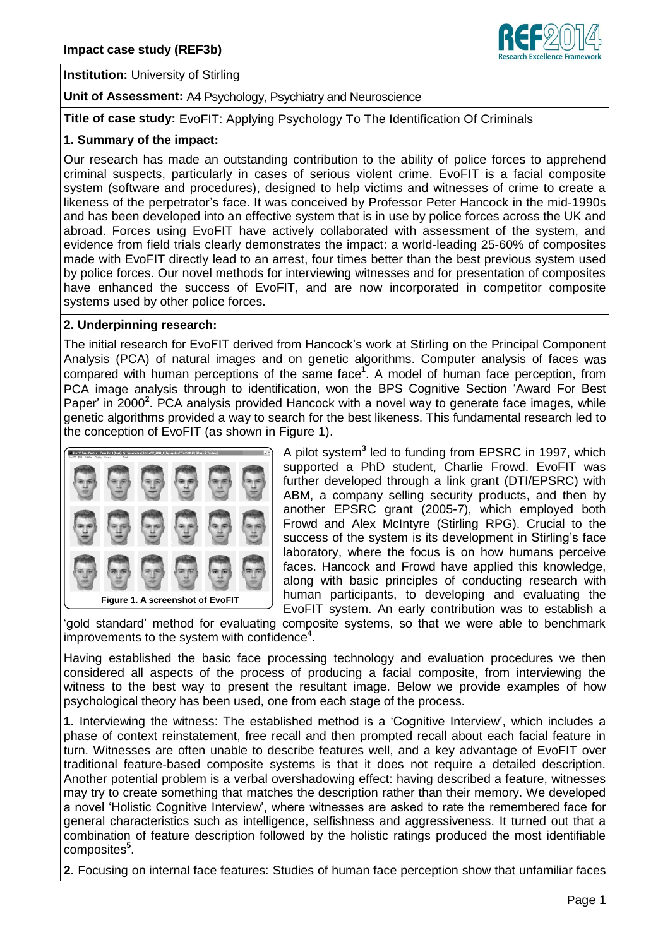

**Institution:** University of Stirling

**Unit of Assessment:** A4 Psychology, Psychiatry and Neuroscience

**Title of case study:** EvoFIT: Applying Psychology To The Identification Of Criminals

## **1. Summary of the impact:**

Our research has made an outstanding contribution to the ability of police forces to apprehend criminal suspects, particularly in cases of serious violent crime. EvoFIT is a facial composite system (software and procedures), designed to help victims and witnesses of crime to create a likeness of the perpetrator's face. It was conceived by Professor Peter Hancock in the mid-1990s and has been developed into an effective system that is in use by police forces across the UK and abroad. Forces using EvoFIT have actively collaborated with assessment of the system, and evidence from field trials clearly demonstrates the impact: a world-leading 25-60% of composites made with EvoFIT directly lead to an arrest, four times better than the best previous system used by police forces. Our novel methods for interviewing witnesses and for presentation of composites have enhanced the success of EvoFIT, and are now incorporated in competitor composite systems used by other police forces.

## **2. Underpinning research:**

The initial research for EvoFIT derived from Hancock's work at Stirling on the Principal Component Analysis (PCA) of natural images and on genetic algorithms. Computer analysis of faces was compared with human perceptions of the same face<sup>1</sup>. A model of human face perception, from PCA image analysis through to identification, won the BPS Cognitive Section 'Award For Best Paper' in 2000<sup>2</sup>. PCA analysis provided Hancock with a novel way to generate face images, while genetic algorithms provided a way to search for the best likeness. This fundamental research led to the conception of EvoFIT (as shown in Figure 1).



A pilot system**<sup>3</sup>** led to funding from EPSRC in 1997, which supported a PhD student, Charlie Frowd. EvoFIT was further developed through a link grant (DTI/EPSRC) with ABM, a company selling security products, and then by another EPSRC grant (2005-7), which employed both Frowd and Alex McIntyre (Stirling RPG). Crucial to the success of the system is its development in Stirling's face laboratory, where the focus is on how humans perceive faces. Hancock and Frowd have applied this knowledge, along with basic principles of conducting research with human participants, to developing and evaluating the EvoFIT system. An early contribution was to establish a

'gold standard' method for evaluating composite systems, so that we were able to benchmark improvements to the system with confidence **4** .

Having established the basic face processing technology and evaluation procedures we then considered all aspects of the process of producing a facial composite, from interviewing the witness to the best way to present the resultant image. Below we provide examples of how psychological theory has been used, one from each stage of the process.

**1.** Interviewing the witness: The established method is a 'Cognitive Interview', which includes a phase of context reinstatement, free recall and then prompted recall about each facial feature in turn. Witnesses are often unable to describe features well, and a key advantage of EvoFIT over traditional feature-based composite systems is that it does not require a detailed description. Another potential problem is a verbal overshadowing effect: having described a feature, witnesses may try to create something that matches the description rather than their memory. We developed a novel 'Holistic Cognitive Interview', where witnesses are asked to rate the remembered face for general characteristics such as intelligence, selfishness and aggressiveness. It turned out that a combination of feature description followed by the holistic ratings produced the most identifiable composites **5** .

**2.** Focusing on internal face features: Studies of human face perception show that unfamiliar faces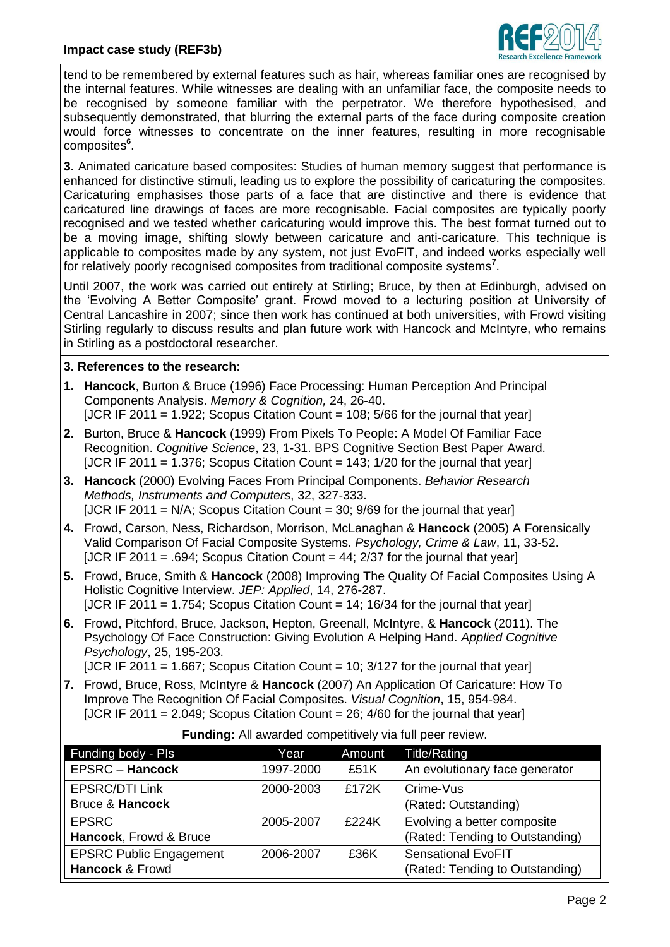

tend to be remembered by external features such as hair, whereas familiar ones are recognised by the internal features. While witnesses are dealing with an unfamiliar face, the composite needs to be recognised by someone familiar with the perpetrator. We therefore hypothesised, and subsequently demonstrated, that blurring the external parts of the face during composite creation would force witnesses to concentrate on the inner features, resulting in more recognisable composites **6** .

**3.** Animated caricature based composites: Studies of human memory suggest that performance is enhanced for distinctive stimuli, leading us to explore the possibility of caricaturing the composites. Caricaturing emphasises those parts of a face that are distinctive and there is evidence that caricatured line drawings of faces are more recognisable. Facial composites are typically poorly recognised and we tested whether caricaturing would improve this. The best format turned out to be a moving image, shifting slowly between caricature and anti-caricature. This technique is applicable to composites made by any system, not just EvoFIT, and indeed works especially well for relatively poorly recognised composites from traditional composite systems**<sup>7</sup>** .

Until 2007, the work was carried out entirely at Stirling; Bruce, by then at Edinburgh, advised on the 'Evolving A Better Composite' grant. Frowd moved to a lecturing position at University of Central Lancashire in 2007; since then work has continued at both universities, with Frowd visiting Stirling regularly to discuss results and plan future work with Hancock and McIntyre, who remains in Stirling as a postdoctoral researcher.

## **3. References to the research:**

- **1. Hancock**, Burton & Bruce (1996) Face Processing: Human Perception And Principal Components Analysis. *Memory & Cognition,* 24, 26-40. [JCR IF 2011 = 1.922; Scopus Citation Count = 108;  $5/66$  for the journal that year]
- **2.** Burton, Bruce & **Hancock** (1999) From Pixels To People: A Model Of Familiar Face Recognition. *Cognitive Science*, 23, 1-31. BPS Cognitive Section Best Paper Award. [JCR IF 2011 =  $1.376$ ; Scopus Citation Count = 143; 1/20 for the journal that year]
- **3. Hancock** (2000) Evolving Faces From Principal Components. *Behavior Research Methods, Instruments and Computers*, 32, 327-333. [JCR IF 2011 = N/A; Scopus Citation Count = 30;  $9/69$  for the journal that year]
- **4.** Frowd, Carson, Ness, Richardson, Morrison, McLanaghan & **Hancock** (2005) A Forensically Valid Comparison Of Facial Composite Systems. *Psychology, Crime & Law*, 11, 33-52. [JCR IF 2011 = .694; Scopus Citation Count =  $44$ ; 2/37 for the journal that year]
- **5.** Frowd, Bruce, Smith & **Hancock** (2008) Improving The Quality Of Facial Composites Using A Holistic Cognitive Interview. *JEP: Applied*, 14, 276-287. [JCR IF 2011 = 1.754; Scopus Citation Count =  $14$ ; 16/34 for the journal that year]
- **6.** Frowd, Pitchford, Bruce, Jackson, Hepton, Greenall, McIntyre, & **Hancock** (2011). The Psychology Of Face Construction: Giving Evolution A Helping Hand. *Applied Cognitive Psychology*, 25, 195-203.

[JCR IF 2011 = 1.667; Scopus Citation Count = 10;  $3/127$  for the journal that year]

**7.** Frowd, Bruce, Ross, McIntyre & **Hancock** (2007) An Application Of Caricature: How To Improve The Recognition Of Facial Composites. *Visual Cognition*, 15, 954-984. [JCR IF 2011 =  $2.049$ : Scopus Citation Count =  $26$ :  $4/60$  for the journal that year]

| Funding body - Pls             | Year      | Amount | Title/Rating                    |
|--------------------------------|-----------|--------|---------------------------------|
| <b>EPSRC - Hancock</b>         | 1997-2000 | £51K   | An evolutionary face generator  |
| <b>EPSRC/DTI Link</b>          | 2000-2003 | £172K  | Crime-Vus                       |
| <b>Bruce &amp; Hancock</b>     |           |        | (Rated: Outstanding)            |
| <b>EPSRC</b>                   | 2005-2007 | £224K  | Evolving a better composite     |
| Hancock, Frowd & Bruce         |           |        | (Rated: Tending to Outstanding) |
| <b>EPSRC Public Engagement</b> | 2006-2007 | £36K   | <b>Sensational EvoFIT</b>       |
| Hancock & Frowd                |           |        | (Rated: Tending to Outstanding) |

**Funding:** All awarded competitively via full peer review.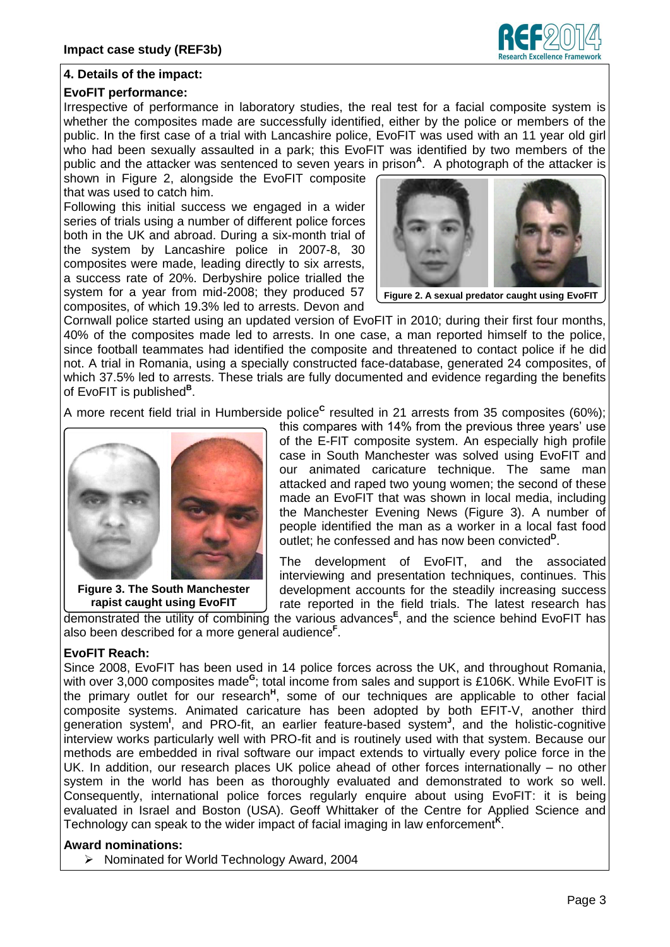

# **4. Details of the impact:**

## **EvoFIT performance:**

Irrespective of performance in laboratory studies, the real test for a facial composite system is whether the composites made are successfully identified, either by the police or members of the public. In the first case of a trial with Lancashire police, EvoFIT was used with an 11 year old girl who had been sexually assaulted in a park; this EvoFIT was identified by two members of the public and the attacker was sentenced to seven years in prison<sup>A</sup>. A photograph of the attacker is

shown in Figure 2, alongside the EvoFIT composite that was used to catch him.

Following this initial success we engaged in a wider series of trials using a number of different police forces both in the UK and abroad. During a six-month trial of the system by Lancashire police in 2007-8, 30 composites were made, leading directly to six arrests, a success rate of 20%. Derbyshire police trialled the system for a year from mid-2008; they produced 57 composites, of which 19.3% led to arrests. Devon and



**Figure 2. A sexual predator caught using EvoFIT**

Cornwall police started using an updated version of EvoFIT in 2010; during their first four months, 40% of the composites made led to arrests. In one case, a man reported himself to the police, since football teammates had identified the composite and threatened to contact police if he did not. A trial in Romania, using a specially constructed face-database, generated 24 composites, of which 37.5% led to arrests. These trials are fully documented and evidence regarding the benefits of EvoFIT is published**<sup>B</sup>** .

A more recent field trial in Humberside police<sup>c</sup> resulted in 21 arrests from 35 composites (60%);



**Figure 3. The South Manchester rapist caught using EvoFIT**

this compares with 14% from the previous three years' use of the E-FIT composite system. An especially high profile case in South Manchester was solved using EvoFIT and our animated caricature technique. The same man attacked and raped two young women; the second of these made an EvoFIT that was shown in local media, including the Manchester Evening News (Figure 3). A number of people identified the man as a worker in a local fast food outlet; he confessed and has now been convicted<sup>p</sup>.

The development of EvoFIT, and the associated interviewing and presentation techniques, continues. This development accounts for the steadily increasing success rate reported in the field trials. The latest research has

demonstrated the utility of combining the various advances **E** , and the science behind EvoFIT has also been described for a more general audience**<sup>F</sup>** .

# **EvoFIT Reach:**

Since 2008, EvoFIT has been used in 14 police forces across the UK, and throughout Romania, with over 3,000 composites made<sup>G</sup>; total income from sales and support is £106K. While EvoFIT is the primary outlet for our research<sup>H</sup>, some of our techniques are applicable to other facial composite systems. Animated caricature has been adopted by both EFIT-V, another third generation system<sup>1</sup>, and PRO-fit, an earlier feature-based system<sup>J</sup>, and the holistic-cognitive interview works particularly well with PRO-fit and is routinely used with that system. Because our methods are embedded in rival software our impact extends to virtually every police force in the UK. In addition, our research places UK police ahead of other forces internationally – no other system in the world has been as thoroughly evaluated and demonstrated to work so well. Consequently, international police forces regularly enquire about using EvoFIT: it is being evaluated in Israel and Boston (USA). Geoff Whittaker of the Centre for Applied Science and Technology can speak to the wider impact of facial imaging in law enforcement<sup>K</sup>.

#### **Award nominations:**

Nominated for World Technology Award, 2004